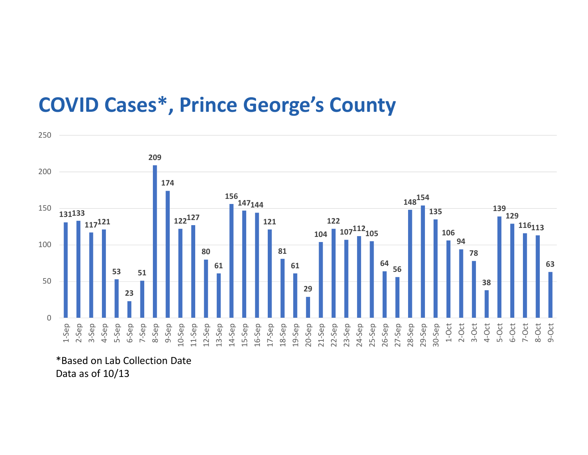## COVID Cases\*, Prince George's County



\*Based on Lab Collection Date Data as of 10/13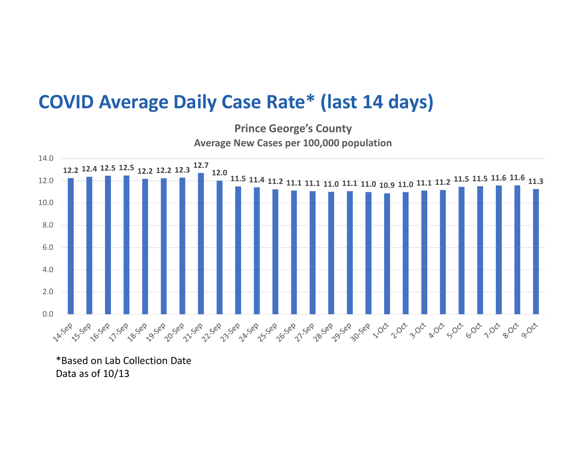## COVID Average Daily Case Rate\* (last 14 days)



Prince George's County Average New Cases per 100,000 population

\*Based on Lab Collection Date Data as of 10/13